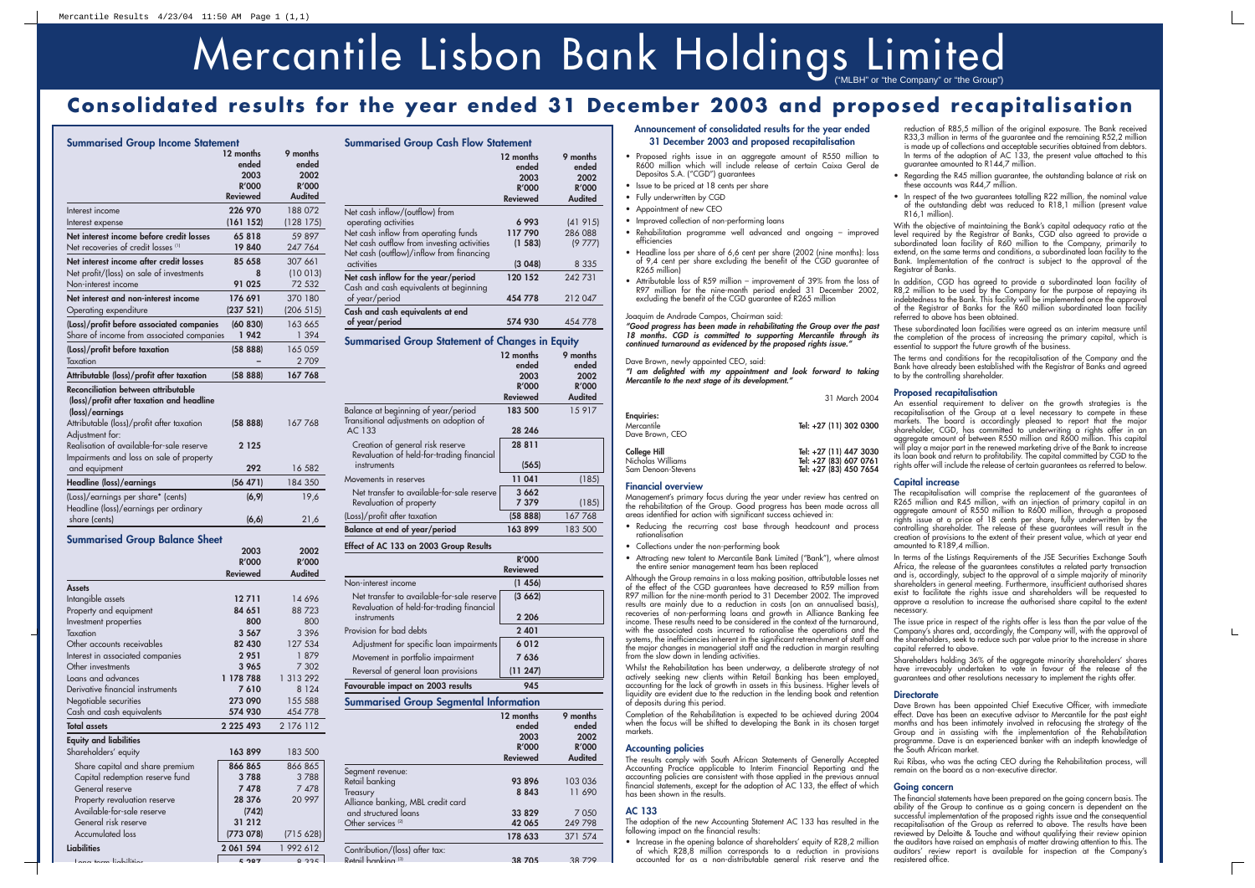## **Consolidated results for the year ended 31 December 2003 and proposed recapitalisation**

|                                                                                                                                                                                                                                                              | 12 months<br>ended<br>2003<br><b>R'000</b><br><b>Reviewed</b> | 9 months<br>ended<br>2002<br><b>R'000</b><br><b>Audited</b> |
|--------------------------------------------------------------------------------------------------------------------------------------------------------------------------------------------------------------------------------------------------------------|---------------------------------------------------------------|-------------------------------------------------------------|
| Interest income<br>Interest expense                                                                                                                                                                                                                          | 226 970<br>(161152)                                           | 188 072<br>(128 175)                                        |
| Net interest income before credit losses<br>Net recoveries of credit losses <sup>(1)</sup>                                                                                                                                                                   | 65818<br>19840                                                | 59 897<br>247 764                                           |
| Net interest income after credit losses<br>Net profit/(loss) on sale of investments<br>Non-interest income                                                                                                                                                   | 85 658<br>8<br>91 025                                         | 307 661<br>(10013)<br>72 532                                |
| Net interest and non-interest income<br>Operating expenditure                                                                                                                                                                                                | 176 691<br>(237 521)                                          | 370 180<br>(206 515)                                        |
| (Loss)/profit before associated companies<br>Share of income from associated companies                                                                                                                                                                       | (60 830)<br>1942                                              | 163 665<br>1 3 9 4                                          |
| (Loss)/profit before taxation<br>Taxation                                                                                                                                                                                                                    | (5888)                                                        | 165 059<br>2709                                             |
| Attributable (loss)/profit after taxation                                                                                                                                                                                                                    | (5888)                                                        | 1677768                                                     |
| Reconciliation between attributable<br>(loss)/profit after taxation and headline<br>(loss)/earnings<br>Attributable (loss)/profit after taxation<br>Adjustment for:<br>Realisation of available-for-sale reserve<br>Impairments and loss on sale of property | (5888)<br>2 1 2 5                                             | 167768                                                      |
| and equipment                                                                                                                                                                                                                                                | 292                                                           | 16 582                                                      |
| <b>Headline (loss)/earnings</b>                                                                                                                                                                                                                              | (56 471)                                                      | 184 350                                                     |
| (Loss)/earnings per share* (cents)<br>Headline (loss)/earnings per ordinary<br>share (cents)                                                                                                                                                                 | (6, 9)<br>(6, 6)                                              | 19,6<br>21,6                                                |
| <b>Summarised Group Balance Sheet</b>                                                                                                                                                                                                                        | 2003<br><b>R'000</b><br>Reviewed                              | 2002<br><b>R'000</b><br><b>Audited</b>                      |
| <b>Assets</b><br>Intangible assets<br>Property and equipment<br>Investment properties                                                                                                                                                                        | 12 7 11<br>84 651<br>800                                      | 14 6 9 6<br>88723<br>800                                    |
| Taxation<br>Other accounts receivables<br>Interest in associated companies<br>Other investments                                                                                                                                                              | 3 5 6 7<br>82 430<br>2951<br>3 965                            | 3 396<br>127 534<br>1879<br>7 302                           |
| Loans and advances<br>Derivative financial instruments<br>Negotiable securities<br>Cash and cash equivalents                                                                                                                                                 | 1 178 788<br>7610<br>273 090<br>574 930                       | 1 313 292<br>8 1 2 4<br>155 588<br>454 778                  |
| <b>Total assets</b>                                                                                                                                                                                                                                          | 2 2 2 5 4 9 3                                                 | 2 176 112                                                   |
| <b>Equity and liabilities</b><br>Shareholders' equity                                                                                                                                                                                                        | 163899                                                        | 183 500                                                     |

| $\frac{1}{2}$                   |           |           |
|---------------------------------|-----------|-----------|
| Share capital and share premium | 866 865   | 866 865   |
| Capital redemption reserve fund | 3788      | 3788      |
| General reserve                 | 7478      | 7 4 7 8   |
| Property revaluation reserve    | 28 376    | 20 997    |
| Available-for-sale reserve      | (742)     |           |
| General risk reserve            | 31 212    |           |
| <b>Accumulated loss</b>         | (773 078) | (715628)  |
| Liabilities                     | 2 061 594 | 1 992 612 |
| and an according to the co-     | $E$ 007   | 0.225     |
|                                 |           |           |

- Proposed rights issue in an aggregate amount of R550 million to R600 million which will include release of certain Caixa Geral de Depositos S.A. ("CGD") guarantees
- Issue to be priced at 18 cents per share
- Fully underwritten by CGD
- Appointment of new CEO
- Improved collection of non-performing loans
- Rehabilitation programme well advanced and ongoing improved efficiencies
- Headline loss per share of 6.6 cent per share (2002 (nine months): loss Headline loss per share of 6,6 cent per share (2002 (nine months): loss of 9,4 cent per share excluding the benefit of the CGD guarantee of R265 million)
- Attributable loss of R59 million improvement of 39% from the loss of R97 million for the nine-month period ended 31 December 2002, excluding the benefit of the CGD guarantee of R265 million

**Summarised Group Cash Flow Statement**

Joaquim de Andrade Campos, Chairman said:<br>"Good progress has been made in rehabilitating the Group over the past *"Good progress has been made in rehabilitating the Group over the past 18 months. CGD is committed to supporting Mercantile through its continued turnaround as evidenced by the proposed rights issue."*

|                                                        | 12 months       | 9 months       |
|--------------------------------------------------------|-----------------|----------------|
|                                                        | ended           | ended          |
|                                                        | 2003            | 2002           |
|                                                        | <b>R'000</b>    | <b>R'000</b>   |
|                                                        | <b>Reviewed</b> | <b>Audited</b> |
| Net cash inflow/(outflow) from                         |                 |                |
| operating activities                                   | 6993            | (41915)        |
| Net cash inflow from operating funds                   | 117790          | 286 088        |
| Net cash outflow from investing activities             | (1 583)         | (9777)         |
| Net cash (outflow)/inflow from financing               |                 |                |
| activities                                             | (3048)          | 8 3 3 5        |
| Net cash inflow for the year/period                    | 120 152         | 242731         |
| Cash and cash equivalents at beginning                 |                 |                |
| of year/period                                         | 454 778         | 212 047        |
| Cash and cash equivalents at end                       |                 |                |
| of year/period                                         | 574 930         | 454 778        |
|                                                        |                 |                |
| <b>Summarised Group Statement of Changes in Equity</b> |                 |                |
|                                                        |                 |                |
|                                                        | 12 months       | 9 months       |
|                                                        | ended           | ended          |
|                                                        | 2003            | 2002           |
|                                                        | <b>R'000</b>    | <b>R'000</b>   |
|                                                        | <b>Reviewed</b> | <b>Audited</b> |
|                                                        |                 |                |
| Balance at beginning of year/period                    | 183 500         | 15 917         |
| Transitional adjustments on adoption of<br>AC 133      | 28 24 6         |                |
|                                                        |                 |                |
| Creation of general risk reserve                       | 28 8 11         |                |
| Revaluation of held-for-trading financial              |                 |                |
| instruments                                            | (565)           |                |
| Movements in reserves                                  | 11 041          | (185)          |
| Net transfer to available-for-sale reserve             | 3 662           |                |
| Revaluation of property                                | 7 379           | (185)          |
| (Loss)/profit after taxation                           | (5888)          | 167768         |
| <b>Balance at end of year/period</b>                   | 163899          | 183 500        |

|                                                                                         | <b>R'000</b><br><b>Reviewed</b> |
|-----------------------------------------------------------------------------------------|---------------------------------|
| Non-interest income                                                                     | (1456)                          |
| Net transfer to available-for-sale reserve<br>Revaluation of held-for-trading financial | (3662)                          |
| instruments                                                                             | 2 2 0 6                         |
| Provision for bad debts                                                                 | 2 4 0 1                         |
| Adjustment for specific loan impairments                                                | 6012                            |
| Movement in portfolio impairment                                                        | 7 636                           |
| Reversal of general loan provisions                                                     | (11247)                         |
| Favourable impact on 2003 results                                                       | 945                             |
| Summarised Group Seamental Information                                                  |                                 |

| w.                                | 12 months<br>ended<br>2003<br><b>R'000</b> | 9 months<br>ended<br>2002<br><b>R'000</b> |
|-----------------------------------|--------------------------------------------|-------------------------------------------|
|                                   | <b>Reviewed</b>                            | <b>Audited</b>                            |
| Segment revenue:                  |                                            |                                           |
| Retail banking                    | 93896                                      | 103 036                                   |
| Treasury                          | 8 8 4 3                                    | 11 690                                    |
| Alliance banking, MBL credit card |                                            |                                           |
| and structured loans              | 33 829                                     | 7 0 5 0                                   |
| Other services <sup>(2)</sup>     | 42 065                                     | 249 798                                   |
|                                   | 178 633                                    | 371 574                                   |
| Contribution/(loss) after tax:    |                                            |                                           |
| Retail banking (3)                | 38705                                      | 38729                                     |

reduction of R85,5 million of the original exposure. The Bank received<br>R33,3 million in terms of the guarantee and the remaining R52,2 million<br>is made up of collections and acceptable securities obtained from debtors.<br>In t guarantee amounted to R144,7 million.

### **Announcement of consolidated results for the year ended 31 December 2003 and proposed recapitalisation**

In addition, CGD has agreed to provide a subordinated loan facility of R8,2 million to be used by the Company for the purpose of repaying its<br>R8,2 million to be used by the Company for the purpose of repaying its<br>indebtedness to the Bank. This facility will be implemented once the approval<br>of

The recapitalisation will comprise the replacement of the guarantees of R265 million and R45 million, with an injection of primary capital in an aggregate amount of R550 million to R600 million, through a proposed rights issue at a price of 18 cents per share, fully underwritten by the<br>controlling shareholder. The release of these guarantees will result in the<br>creation of provisions to the extent of their present value, which at yea

### Dave Brown, newly appointed CEO, said:

*"I am delighted with my appointment and look forward to taking Mercantile to the next stage of its development."*

|                                                                | 31 March 2004                                                              |
|----------------------------------------------------------------|----------------------------------------------------------------------------|
| <b>Enguiries:</b><br>Mercantile<br>Dave Brown, CEO             | Tel: +27 (11) 302 0300                                                     |
| <b>College Hill</b><br>Nicholas Williams<br>Sam Denoon-Stevens | Tel: +27 (11) 447 3030<br>Tel: +27 (83) 607 0761<br>Tel: +27 (83) 450 7654 |

In terms of the Listings Requirements of the JSE Securities Exchange South<br>Africa, the release of the guarantees constitutes a related party transaction<br>and is, accordingly, subject to the approval of a simple majority of approve a resolution to increase the authorised share capital to the extent necessary.

### **Financial overview**

Management's primary focus during the year under review has centred on the rehabilitation of the Group. Good progress has been made across all areas identified for action with significant success achieved in:

The issue price in respect of the rights offer is less than the par value of the Company's shares and, accordingly, the Company will, with the approval of the shareholders, seek to reduce such par value prior to the increa capital referred to above. Shareholders holding 36% of the aggregate minority shareholders' shares have irrevocably undertaken to vote in favour of the release of the guarantees and other resolutions necessary to implement the rights offer.

- Reducing the recurring cost base through headcount and process rationalisation
- Collections under the non-performing book
- Attracting new talent to Mercantile Bank Limited ("Bank"), where almost the entire senior management team has been replaced

Although the Group remains in a loss making position, attributable losses net of the effect of the CGD guarantees have decreased to R59 million from R97 million for the nine-month period to 31 December 2002. The improved results are mainly due to a reduction in costs (on an annualised basis),<br>recoveries of non-performing loans and growth in Alliance Banking fee<br>income. These results need to be considered in the context of the turnaround, with the associated costs incurred to rationalise the operations and the systems, the inefficiencies inherent in the significant retrenchment of staff and the major changes in managerial staff and the reduction in margin resulting<br>from the slow down in lending activities.<br>Whilst the Rehabilitation has been underway, a deliberate strategy of not

actively seeking new clients within Retail Banking has been employed, accounting for the lack of growth in assets in this business. Higher levels of liquidity are evident due to the reduction in the lending book and retent

Dave Brown has been appointed Chief Executive Officer, with immediate effect. Dave has been an executive advisor to Mercantile for the past eight months and has been intimately involved in refocusing the strategy of the Gr programme. Dave is an experienced banker with an indepth knowledge of the South African market.

Completion of the Rehabilitation is expected to be achieved during 2004 when the focus will be shifted to developing the Bank in its chosen target markets.

**Accounting policies**<br>The results comply with South African Statements of Generally Accepted Accounting Practice applicable to Interim Financial Reporting and the accounting policies are consistent with those applied in the previous annual than<br>counting set of the adoption of AC 133, the effect of which than<br>cial

### **AC 133**

The adoption of the new Accounting Statement AC 133 has resulted in the following impact on the financial results:

• Increase in the opening balance of shareholders' equity of R28,2 million of which R28,8 million corresponds to a reduction in provisions accounted for as a non-distributable general risk reserve and the

• In respect of the two augrantees totalling R22 million, the nominal value of the outstanding debt was reduced to R18,1 million (present value R16,1 million).

With the objective of maintaining the Bank's capital adequacy ratio at the level required by the Registrar of Banks, CGD also agreed to provide a subordinated loan facility of R60 million to the Company, primarily to exten

• Regarding the R45 million guarantee, the outstanding balance at risk on these accounts was R44,7 million.

These subordinated loan facilities were agreed as an interim measure until the completion of the process of increasing the primary capital, which is essential to support the future growth of the business.

The terms and conditions for the recapitalisation of the Company and the Bank have already been established with the Registrar of Banks and agreed to by the controlling shareholder.

An essential requirement to deliver on the growth strategies is the recapitalisation of the Group at a level necessary to compete in these recapitalisation of the Group at a level necessary to compete in these<br>markets. The board is accordingly pleased to report that the major<br>shareholder, CGD, has committed to underwriting a rights offer in an aggregate amount of between R550 million and R600 million. This capital<br>will play a major part in the renewed marketing drive of the Bank to increase<br>its loan book and return to profitability. The capital committed by CGD

### **Proposed recapitalisation**

### **Capital increase**

**Directorate**

Rui Ribas, who was the acting CEO during the Rehabilitation process, will remain on the board as a non-executive director.

 $\mathbf{L}$ 

### **Going concern**

The financial statements have been prepared on the going concern basis. The ability of the Group to continue as a going concern is dependent on the successful implementation of the proposed rights issue and the consequential recapitalisation of the Group as referred to above. The results have been<br>reviewed by Deloitte & Touche and without qualifying their review opinion<br>the auditors have raised an emphasis of matter drawing attention to this. registered office.



# Mercantile Lisbon Bank Holdings Limited